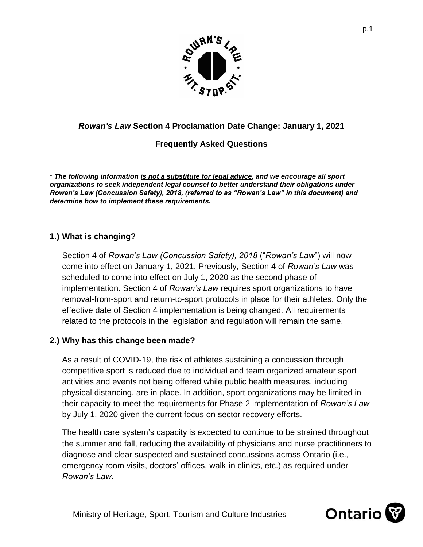

## *Rowan's Law* **Section 4 Proclamation Date Change: January 1, 2021**

## **Frequently Asked Questions**

**\*** *The following information is not a substitute for legal advice, and we encourage all sport organizations to seek independent legal counsel to better understand their obligations under Rowan's Law (Concussion Safety), 2018, (referred to as "Rowan's Law" in this document) and determine how to implement these requirements.* 

## **1.) What is changing?**

Section 4 of *Rowan's Law (Concussion Safety), 2018* ("*Rowan's Law*") will now come into effect on January 1, 2021. Previously, Section 4 of *Rowan's Law* was scheduled to come into effect on July 1, 2020 as the second phase of implementation. Section 4 of *Rowan's Law* requires sport organizations to have removal-from-sport and return-to-sport protocols in place for their athletes. Only the effective date of Section 4 implementation is being changed. All requirements related to the protocols in the legislation and regulation will remain the same.

#### **2.) Why has this change been made?**

As a result of COVID-19, the risk of athletes sustaining a concussion through competitive sport is reduced due to individual and team organized amateur sport activities and events not being offered while public health measures, including physical distancing, are in place. In addition, sport organizations may be limited in their capacity to meet the requirements for Phase 2 implementation of *Rowan's Law* by July 1, 2020 given the current focus on sector recovery efforts.

The health care system's capacity is expected to continue to be strained throughout the summer and fall, reducing the availability of physicians and nurse practitioners to diagnose and clear suspected and sustained concussions across Ontario (i.e., emergency room visits, doctors' offices, walk-in clinics, etc.) as required under *Rowan's Law*.

Ministry of Heritage, Sport, Tourism and Culture Industries

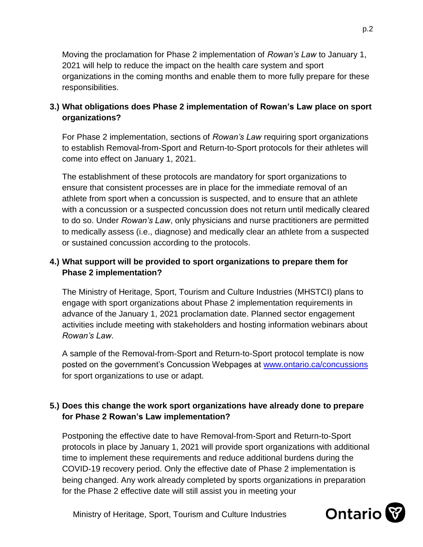Moving the proclamation for Phase 2 implementation of *Rowan's Law* to January 1, 2021 will help to reduce the impact on the health care system and sport organizations in the coming months and enable them to more fully prepare for these responsibilities.

# **3.) What obligations does Phase 2 implementation of Rowan's Law place on sport organizations?**

For Phase 2 implementation, sections of *Rowan's Law* requiring sport organizations to establish Removal-from-Sport and Return-to-Sport protocols for their athletes will come into effect on January 1, 2021.

The establishment of these protocols are mandatory for sport organizations to ensure that consistent processes are in place for the immediate removal of an athlete from sport when a concussion is suspected, and to ensure that an athlete with a concussion or a suspected concussion does not return until medically cleared to do so. Under *Rowan's Law*, only physicians and nurse practitioners are permitted to medically assess (i.e., diagnose) and medically clear an athlete from a suspected or sustained concussion according to the protocols.

# **4.) What support will be provided to sport organizations to prepare them for Phase 2 implementation?**

The Ministry of Heritage, Sport, Tourism and Culture Industries (MHSTCI) plans to engage with sport organizations about Phase 2 implementation requirements in advance of the January 1, 2021 proclamation date. Planned sector engagement activities include meeting with stakeholders and hosting information webinars about *Rowan's Law*.

A sample of the Removal-from-Sport and Return-to-Sport protocol template is now posted on the government's Concussion Webpages at www.ontario.ca/concussions for sport organizations to use or adapt.

## **5.) Does this change the work sport organizations have already done to prepare for Phase 2 Rowan's Law implementation?**

Postponing the effective date to have Removal-from-Sport and Return-to-Sport protocols in place by January 1, 2021 will provide sport organizations with additional time to implement these requirements and reduce additional burdens during the COVID-19 recovery period. Only the effective date of Phase 2 implementation is being changed. Any work already completed by sports organizations in preparation for the Phase 2 effective date will still assist you in meeting your

Ministry of Heritage, Sport, Tourism and Culture Industries